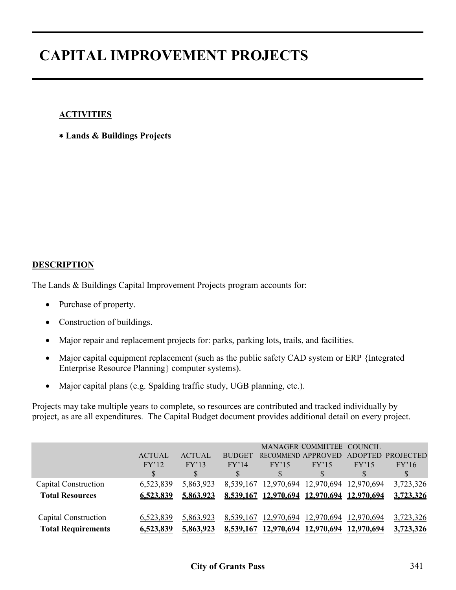### **ACTIVITIES**

∗ **Lands & Buildings Projects**

#### **DESCRIPTION**

The Lands & Buildings Capital Improvement Projects program accounts for:

- Purchase of property.
- Construction of buildings.
- Major repair and replacement projects for: parks, parking lots, trails, and facilities.
- Major capital equipment replacement (such as the public safety CAD system or ERP {Integrated Enterprise Resource Planning} computer systems).
- Major capital plans (e.g. Spalding traffic study, UGB planning, etc.).

Projects may take multiple years to complete, so resources are contributed and tracked individually by project, as are all expenditures. The Capital Budget document provides additional detail on every project.

|                           |               |                  |               |                                            | MANAGER COMMITTEE COUNCIL |                   |                  |
|---------------------------|---------------|------------------|---------------|--------------------------------------------|---------------------------|-------------------|------------------|
|                           | <b>ACTUAL</b> | <b>ACTUAL</b>    | <b>BUDGET</b> | RECOMMEND APPROVED                         |                           | <b>ADOPTED</b>    | <b>PROJECTED</b> |
|                           | FY'12         | FY'13            | FY'14         | FY'15                                      | FY'15                     | FY'15             | FY'16            |
|                           |               |                  |               |                                            |                           |                   | $\mathbb{S}$     |
| Capital Construction      | 6,523,839     | 5,863,923        | 8,539,167     | 12,970,694                                 | 12,970,694                | 12,970,694        | 3,723,326        |
| <b>Total Resources</b>    | 6.523.839     | 5.863.923        |               | 8,539,167 12,970,694 12,970,694 12,970,694 |                           |                   | 3,723,326        |
|                           |               |                  |               |                                            |                           |                   |                  |
| Capital Construction      | 6,523,839     | 5,863,923        |               | 8,539,167 12,970,694 12,970,694 12,970,694 |                           |                   | 3,723,326        |
| <b>Total Requirements</b> | 6.523.839     | <u>5.863.923</u> | 8,539,167     | 12,970,694                                 | 12.970.694                | <u>12.970.694</u> | 3.723.326        |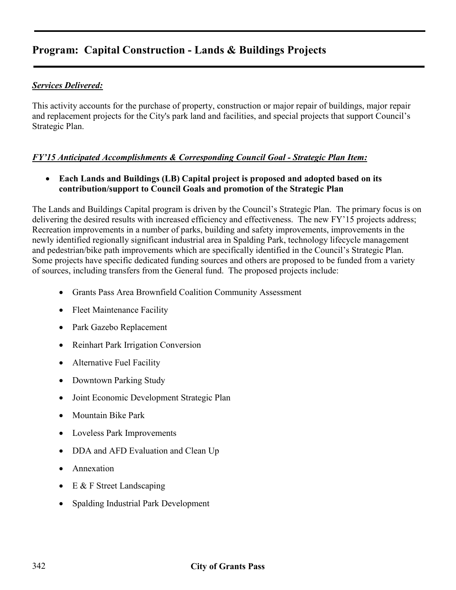### *Services Delivered:*

This activity accounts for the purchase of property, construction or major repair of buildings, major repair and replacement projects for the City's park land and facilities, and special projects that support Council's Strategic Plan.

### *FY'15 Anticipated Accomplishments & Corresponding Council Goal - Strategic Plan Item:*

• **Each Lands and Buildings (LB) Capital project is proposed and adopted based on its contribution/support to Council Goals and promotion of the Strategic Plan**

The Lands and Buildings Capital program is driven by the Council's Strategic Plan. The primary focus is on delivering the desired results with increased efficiency and effectiveness. The new FY'15 projects address; Recreation improvements in a number of parks, building and safety improvements, improvements in the newly identified regionally significant industrial area in Spalding Park, technology lifecycle management and pedestrian/bike path improvements which are specifically identified in the Council's Strategic Plan. Some projects have specific dedicated funding sources and others are proposed to be funded from a variety of sources, including transfers from the General fund. The proposed projects include:

- Grants Pass Area Brownfield Coalition Community Assessment
- Fleet Maintenance Facility
- Park Gazebo Replacement
- Reinhart Park Irrigation Conversion
- Alternative Fuel Facility
- Downtown Parking Study
- Joint Economic Development Strategic Plan
- Mountain Bike Park
- Loveless Park Improvements
- DDA and AFD Evaluation and Clean Up
- Annexation
- $\bullet$  E & F Street Landscaping
- Spalding Industrial Park Development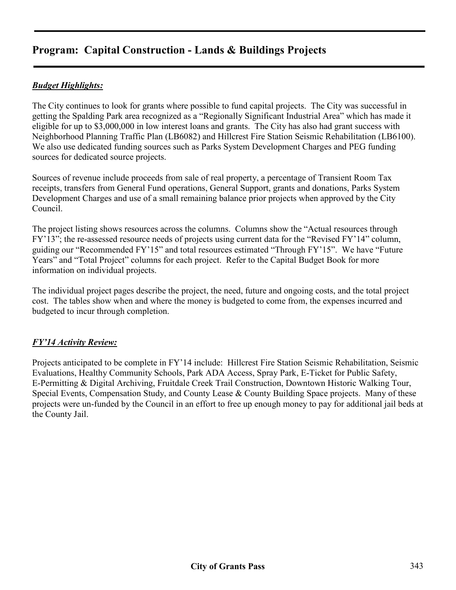### *Budget Highlights:*

The City continues to look for grants where possible to fund capital projects. The City was successful in getting the Spalding Park area recognized as a "Regionally Significant Industrial Area" which has made it eligible for up to \$3,000,000 in low interest loans and grants. The City has also had grant success with Neighborhood Planning Traffic Plan (LB6082) and Hillcrest Fire Station Seismic Rehabilitation (LB6100). We also use dedicated funding sources such as Parks System Development Charges and PEG funding sources for dedicated source projects.

Sources of revenue include proceeds from sale of real property, a percentage of Transient Room Tax receipts, transfers from General Fund operations, General Support, grants and donations, Parks System Development Charges and use of a small remaining balance prior projects when approved by the City Council.

The project listing shows resources across the columns. Columns show the "Actual resources through FY'13"; the re-assessed resource needs of projects using current data for the "Revised FY'14" column, guiding our "Recommended FY'15" and total resources estimated "Through FY'15". We have "Future Years" and "Total Project" columns for each project. Refer to the Capital Budget Book for more information on individual projects.

The individual project pages describe the project, the need, future and ongoing costs, and the total project cost. The tables show when and where the money is budgeted to come from, the expenses incurred and budgeted to incur through completion.

### *FY'14 Activity Review:*

Projects anticipated to be complete in FY'14 include: Hillcrest Fire Station Seismic Rehabilitation, Seismic Evaluations, Healthy Community Schools, Park ADA Access, Spray Park, E-Ticket for Public Safety, E-Permitting & Digital Archiving, Fruitdale Creek Trail Construction, Downtown Historic Walking Tour, Special Events, Compensation Study, and County Lease & County Building Space projects. Many of these projects were un-funded by the Council in an effort to free up enough money to pay for additional jail beds at the County Jail.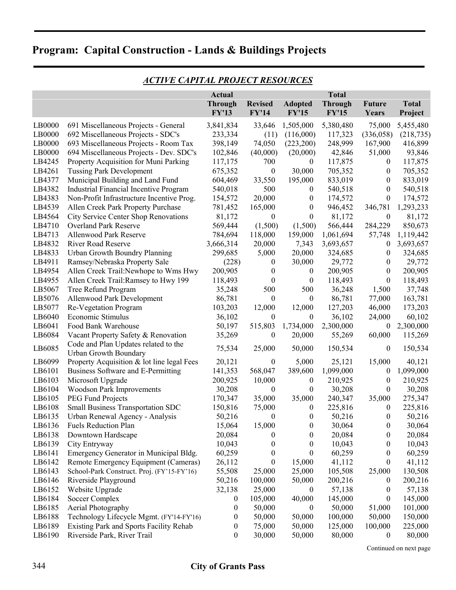|        |                                                               | <b>Actual</b><br><b>Through</b> | <b>Revised</b>   | <b>Adopted</b>   | <b>Total</b><br><b>Through</b> | <b>Future</b>    | <b>Total</b> |
|--------|---------------------------------------------------------------|---------------------------------|------------------|------------------|--------------------------------|------------------|--------------|
|        |                                                               | <b>FY'13</b>                    | <b>FY'14</b>     | <b>FY'15</b>     | <b>FY'15</b>                   | Years            | Project      |
|        |                                                               |                                 |                  |                  |                                |                  |              |
| LB0000 | 691 Miscellaneous Projects - General                          | 3,841,834                       | 33,646           | 1,505,000        | 5,380,480                      | 75,000           | 5,455,480    |
| LB0000 | 692 Miscellaneous Projects - SDC's                            | 233,334                         | (11)             | (116,000)        | 117,323                        | (336,058)        | (218, 735)   |
| LB0000 | 693 Miscellaneous Projects - Room Tax                         | 398,149                         | 74,050           | (223,200)        | 248,999                        | 167,900          | 416,899      |
| LB0000 | 694 Miscellaneous Projects - Dev. SDC's                       | 102,846                         | (40,000)         | (20,000)         | 42,846                         | 51,000           | 93,846       |
| LB4245 | Property Acquisition for Muni Parking                         | 117,175                         | 700              | $\theta$         | 117,875                        | $\boldsymbol{0}$ | 117,875      |
| LB4261 | <b>Tussing Park Development</b>                               | 675,352                         | $\boldsymbol{0}$ | 30,000           | 705,352                        | $\boldsymbol{0}$ | 705,352      |
| LB4377 | Municipal Building and Land Fund                              | 604,469                         | 33,550           | 195,000          | 833,019                        | $\boldsymbol{0}$ | 833,019      |
| LB4382 | Industrial Financial Incentive Program                        | 540,018                         | 500              | $\boldsymbol{0}$ | 540,518                        | $\boldsymbol{0}$ | 540,518      |
| LB4383 | Non-Profit Infrastructure Incentive Prog.                     | 154,572                         | 20,000           | $\boldsymbol{0}$ | 174,572                        | $\boldsymbol{0}$ | 174,572      |
| LB4539 | Allen Creek Park Property Purchase                            | 781,452                         | 165,000          | $\boldsymbol{0}$ | 946,452                        | 346,781          | 1,293,233    |
| LB4564 | City Service Center Shop Renovations                          | 81,172                          | $\boldsymbol{0}$ | $\boldsymbol{0}$ | 81,172                         | $\boldsymbol{0}$ | 81,172       |
| LB4710 | <b>Overland Park Reserve</b>                                  | 569,444                         | (1,500)          | (1,500)          | 566,444                        | 284,229          | 850,673      |
| LB4713 | Allenwood Park Reserve                                        | 784,694                         | 118,000          | 159,000          | 1,061,694                      | 57,748           | 1,119,442    |
| LB4832 | <b>River Road Reserve</b>                                     | 3,666,314                       | 20,000           | 7,343            | 3,693,657                      | $\boldsymbol{0}$ | 3,693,657    |
| LB4833 | Urban Growth Boundry Planning                                 | 299,685                         | 5,000            | 20,000           | 324,685                        | $\boldsymbol{0}$ | 324,685      |
| LB4911 | Ramsey/Nebraska Property Sale                                 | (228)                           | $\boldsymbol{0}$ | 30,000           | 29,772                         | $\boldsymbol{0}$ | 29,772       |
| LB4954 | Allen Creek Trail: Newhope to Wms Hwy                         | 200,905                         | $\boldsymbol{0}$ | $\boldsymbol{0}$ | 200,905                        | $\boldsymbol{0}$ | 200,905      |
| LB4955 | Allen Creek Trail: Ramsey to Hwy 199                          | 118,493                         | $\boldsymbol{0}$ | $\boldsymbol{0}$ | 118,493                        | $\boldsymbol{0}$ | 118,493      |
| LB5067 | Tree Refund Program                                           | 35,248                          | 500              | 500              | 36,248                         | 1,500            | 37,748       |
| LB5076 | Allenwood Park Development                                    | 86,781                          | $\boldsymbol{0}$ | $\boldsymbol{0}$ | 86,781                         | 77,000           | 163,781      |
| LB5077 | Re-Vegetation Program                                         | 103,203                         | 12,000           | 12,000           | 127,203                        | 46,000           | 173,203      |
| LB6040 | Economic Stimulus                                             | 36,102                          | 0                | $\boldsymbol{0}$ | 36,102                         | 24,000           | 60,102       |
| LB6041 | Food Bank Warehouse                                           | 50,197                          | 515,803          | 1,734,000        | 2,300,000                      | $\boldsymbol{0}$ | 2,300,000    |
| LB6084 | Vacant Property Safety & Renovation                           | 35,269                          | 0                | 20,000           | 55,269                         | 60,000           | 115,269      |
| LB6085 | Code and Plan Updates related to the<br>Urban Growth Boundary | 75,534                          | 25,000           | 50,000           | 150,534                        | $\boldsymbol{0}$ | 150,534      |
| LB6099 | Property Acquisition & lot line legal Fees                    | 20,121                          | $\boldsymbol{0}$ | 5,000            | 25,121                         | 15,000           | 40,121       |
| LB6101 | Business Software and E-Permitting                            | 141,353                         | 568,047          | 389,600          | 1,099,000                      | $\boldsymbol{0}$ | 1,099,000    |
| LB6103 | Microsoft Upgrade                                             | 200,925                         | 10,000           | $\boldsymbol{0}$ | 210,925                        | $\boldsymbol{0}$ | 210,925      |
| LB6104 | Woodson Park Improvements                                     | 30,208                          | $\boldsymbol{0}$ | $\boldsymbol{0}$ | 30,208                         | $\boldsymbol{0}$ | 30,208       |
| LB6105 | PEG Fund Projects                                             | 170,347                         | 35,000           | 35,000           | 240,347                        | 35,000           | 275,347      |
| LB6108 | Small Business Transportation SDC                             | 150,816                         | 75,000           | $\boldsymbol{0}$ | 225,816                        | $\boldsymbol{0}$ | 225,816      |
| LB6135 | Urban Renewal Agency - Analysis                               | 50,216                          | $\boldsymbol{0}$ | $\boldsymbol{0}$ | 50,216                         | $\boldsymbol{0}$ | 50,216       |
| LB6136 | <b>Fuels Reduction Plan</b>                                   | 15,064                          | 15,000           | 0                | 30,064                         | $\boldsymbol{0}$ | 30,064       |
| LB6138 | Downtown Hardscape                                            | 20,084                          | $\mathbf{0}$     | $\bf{0}$         | 20,084                         | $\theta$         | 20,084       |
| LB6139 | City Entryway                                                 | 10,043                          | 0                | 0                | 10,043                         | $\theta$         | 10,043       |
| LB6141 | Emergency Generator in Municipal Bldg.                        | 60,259                          | $\boldsymbol{0}$ | $\boldsymbol{0}$ | 60,259                         | $\bf{0}$         | 60,259       |
| LB6142 | Remote Emergency Equipment (Cameras)                          | 26,112                          | 0                | 15,000           | 41,112                         | $\bf{0}$         | 41,112       |
| LB6143 | School-Park Construct. Proj. (FY'15-FY'16)                    | 55,508                          | 25,000           | 25,000           | 105,508                        | 25,000           | 130,508      |
| LB6146 | Riverside Playground                                          | 50,216                          | 100,000          | 50,000           | 200,216                        | $\boldsymbol{0}$ | 200,216      |
| LB6152 | Website Upgrade                                               | 32,138                          | 25,000           | $\theta$         | 57,138                         | $\theta$         | 57,138       |
| LB6184 | Soccer Complex                                                | $\bf{0}$                        | 105,000          | 40,000           | 145,000                        | $\theta$         | 145,000      |
| LB6185 | Aerial Photography                                            | $\boldsymbol{0}$                | 50,000           | $\boldsymbol{0}$ | 50,000                         | 51,000           | 101,000      |
| LB6188 | Technology Lifecycle Mgmt. (FY'14-FY'16)                      | $\boldsymbol{0}$                | 50,000           | 50,000           | 100,000                        | 50,000           | 150,000      |
| LB6189 | Existing Park and Sports Facility Rehab                       | $\boldsymbol{0}$                | 75,000           | 50,000           | 125,000                        | 100,000          | 225,000      |
| LB6190 | Riverside Park, River Trail                                   | $\boldsymbol{0}$                | 30,000           | 50,000           | 80,000                         | $\boldsymbol{0}$ | 80,000       |

### *ACTIVE CAPITAL PROJECT RESOURCES*

Continued on next page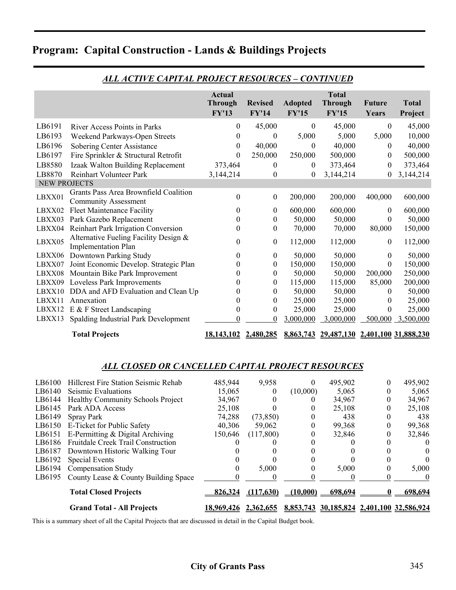|                     |                                                                      | <b>Actual</b><br><b>Through</b><br><b>FY'13</b> | <b>Revised</b><br><b>FY'14</b> | <b>Adopted</b><br><b>FY'15</b> | <b>Total</b><br><b>Through</b><br><b>FY'15</b> | <b>Future</b><br>Years | <b>Total</b><br>Project |
|---------------------|----------------------------------------------------------------------|-------------------------------------------------|--------------------------------|--------------------------------|------------------------------------------------|------------------------|-------------------------|
| LB6191              | River Access Points in Parks                                         | $\boldsymbol{0}$                                | 45,000                         | $\boldsymbol{0}$               | 45,000                                         | $\theta$               | 45,000                  |
| LB6193              | Weekend Parkways-Open Streets                                        | 0                                               | $\overline{0}$                 | 5,000                          | 5,000                                          | 5,000                  | 10,000                  |
| LB6196              | Sobering Center Assistance                                           | $\theta$                                        | 40,000                         | $\theta$                       | 40,000                                         | $\theta$               | 40,000                  |
| LB6197              | Fire Sprinkler & Structural Retrofit                                 | 0                                               | 250,000                        | 250,000                        | 500,000                                        | $\theta$               | 500,000                 |
| LB8580              | Izaak Walton Building Replacement                                    | 373,464                                         | $\theta$                       | $\boldsymbol{0}$               | 373,464                                        | $\theta$               | 373,464                 |
| LB8870              | Reinhart Volunteer Park                                              | 3,144,214                                       | $\theta$                       | $\boldsymbol{0}$               | 3,144,214                                      | $\theta$               | 3,144,214               |
| <b>NEW PROJECTS</b> |                                                                      |                                                 |                                |                                |                                                |                        |                         |
| LBXX01              | Grants Pass Area Brownfield Coalition<br><b>Community Assessment</b> | $\boldsymbol{0}$                                | $\boldsymbol{0}$               | 200,000                        | 200,000                                        | 400,000                | 600,000                 |
| LBXX02              | <b>Fleet Maintenance Facility</b>                                    | $\theta$                                        | $\theta$                       | 600,000                        | 600,000                                        | $\theta$               | 600,000                 |
| LBXX03              | Park Gazebo Replacement                                              | $\boldsymbol{0}$                                | $\boldsymbol{0}$               | 50,000                         | 50,000                                         | $\theta$               | 50,000                  |
| LBXX04              | Reinhart Park Irrigation Conversion                                  | 0                                               | $\theta$                       | 70,000                         | 70,000                                         | 80,000                 | 150,000                 |
| LBXX05              | Alternative Fueling Facility Design &<br><b>Implementation Plan</b>  | $\theta$                                        | $\boldsymbol{0}$               | 112,000                        | 112,000                                        | $\mathbf{0}$           | 112,000                 |
| LBXX06              | Downtown Parking Study                                               | 0                                               | $\theta$                       | 50,000                         | 50,000                                         | $\bf{0}$               | 50,000                  |
| LBXX07              | Joint Economic Develop. Strategic Plan                               | 0                                               | $\theta$                       | 150,000                        | 150,000                                        | $\Omega$               | 150,000                 |
| LBXX08              | Mountain Bike Park Improvement                                       | $\bf{0}$                                        | $\theta$                       | 50,000                         | 50,000                                         | 200,000                | 250,000                 |
|                     | LBXX09 Loveless Park Improvements                                    | 0                                               | $\theta$                       | 115,000                        | 115,000                                        | 85,000                 | 200,000                 |
| LBXX10              | DDA and AFD Evaluation and Clean Up                                  | 0                                               | $\theta$                       | 50,000                         | 50,000                                         | $\theta$               | 50,000                  |
| LBXX11              | Annexation                                                           | 0                                               | $\mathbf{0}$                   | 25,000                         | 25,000                                         | $\theta$               | 25,000                  |
| LBXX12              | $E \& F$ Street Landscaping                                          | 0                                               | $\theta$                       | 25,000                         | 25,000                                         | $^{(1)}$               | 25,000                  |
| LBXX13              | Spalding Industrial Park Development                                 | $\theta$                                        | $\theta$                       | 3,000,000                      | 3,000,000                                      | 500,000                | 3,500,000               |
|                     | <b>Total Projects</b>                                                | <u>18,143,102 2,480,285</u>                     |                                |                                | 8,863,743 29,487,130 2,401,100 31,888,230      |                        |                         |

### *ALL ACTIVE CAPITAL PROJECT RESOURCES – CONTINUED*

#### *ALL CLOSED OR CANCELLED CAPITAL PROJECT RESOURCES*

|        | <b>Grand Total - All Projects</b>           | <u>18.969.426</u> | 2.362.655 |          | 8,853,743 30,185,824 2,401,100 32,586,924 |   |         |
|--------|---------------------------------------------|-------------------|-----------|----------|-------------------------------------------|---|---------|
|        | <b>Total Closed Projects</b>                | 826,324           | (117.630) | (10.000) | 698.694                                   |   | 698.694 |
| LB6195 | County Lease & County Building Space        |                   |           |          |                                           |   |         |
| LB6194 | <b>Compensation Study</b>                   |                   | 5,000     |          | 5,000                                     |   | 5,000   |
| LB6192 | <b>Special Events</b>                       |                   |           |          |                                           |   |         |
| LB6187 | Downtown Historic Walking Tour              |                   |           |          |                                           |   |         |
| LB6186 | <b>Fruitdale Creek Trail Construction</b>   |                   |           |          |                                           |   |         |
| LB6151 | E-Permitting & Digital Archiving            | 150,646           | (117,800) |          | 32,846                                    |   | 32,846  |
| LB6150 | E-Ticket for Public Safety                  | 40,306            | 59,062    | 0        | 99,368                                    |   | 99,368  |
| LB6149 | Spray Park                                  | 74,288            | (73, 850) | O        | 438                                       |   | 438     |
| LB6145 | Park ADA Access                             | 25,108            |           |          | 25,108                                    |   | 25,108  |
| LB6144 | <b>Healthy Community Schools Project</b>    | 34,967            |           |          | 34,967                                    | 0 | 34,967  |
| LB6140 | Seismic Evaluations                         | 15,065            | $\theta$  | (10,000) | 5,065                                     |   | 5,065   |
| LB6100 | <b>Hillcrest Fire Station Seismic Rehab</b> | 485,944           | 9,958     | 0        | 495,902                                   |   | 495,902 |

This is a summary sheet of all the Capital Projects that are discussed in detail in the Capital Budget book.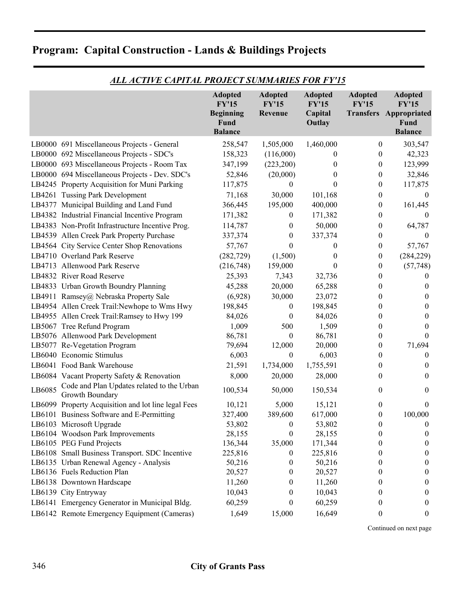|        |                                                               | <b>Adopted</b><br><b>FY'15</b><br><b>Beginning</b> | <b>Adopted</b><br><b>FY'15</b><br>Revenue | <b>Adopted</b><br><b>FY'15</b><br>Capital | <b>Adopted</b><br><b>FY'15</b> | <b>Adopted</b><br><b>FY'15</b><br><b>Transfers Appropriated</b> |
|--------|---------------------------------------------------------------|----------------------------------------------------|-------------------------------------------|-------------------------------------------|--------------------------------|-----------------------------------------------------------------|
|        |                                                               | Fund<br><b>Balance</b>                             |                                           | Outlay                                    |                                | <b>Fund</b><br><b>Balance</b>                                   |
|        | LB0000 691 Miscellaneous Projects - General                   | 258,547                                            | 1,505,000                                 | 1,460,000                                 | 0                              | 303,547                                                         |
|        | LB0000 692 Miscellaneous Projects - SDC's                     | 158,323                                            | (116,000)                                 | $\bf{0}$                                  | 0                              | 42,323                                                          |
|        | LB0000 693 Miscellaneous Projects - Room Tax                  | 347,199                                            | (223,200)                                 | $\theta$                                  | $\mathbf{0}$                   | 123,999                                                         |
|        | LB0000 694 Miscellaneous Projects - Dev. SDC's                | 52,846                                             | (20,000)                                  | $\theta$                                  | 0                              | 32,846                                                          |
|        | LB4245 Property Acquisition for Muni Parking                  | 117,875                                            | 0                                         | 0                                         | $\boldsymbol{0}$               | 117,875                                                         |
|        | LB4261 Tussing Park Development                               | 71,168                                             | 30,000                                    | 101,168                                   | $\boldsymbol{0}$               | $\boldsymbol{0}$                                                |
|        | LB4377 Municipal Building and Land Fund                       | 366,445                                            | 195,000                                   | 400,000                                   | 0                              | 161,445                                                         |
|        | LB4382 Industrial Financial Incentive Program                 | 171,382                                            | $\boldsymbol{0}$                          | 171,382                                   | 0                              | $\theta$                                                        |
|        | LB4383 Non-Profit Infrastructure Incentive Prog.              | 114,787                                            | 0                                         | 50,000                                    | $\boldsymbol{0}$               | 64,787                                                          |
|        | LB4539 Allen Creek Park Property Purchase                     | 337,374                                            | $\theta$                                  | 337,374                                   | 0                              | $\theta$                                                        |
|        | LB4564 City Service Center Shop Renovations                   | 57,767                                             | 0                                         | $\bf{0}$                                  | 0                              | 57,767                                                          |
|        | LB4710 Overland Park Reserve                                  | (282, 729)                                         | (1,500)                                   | $\theta$                                  | $\boldsymbol{0}$               | (284, 229)                                                      |
|        | LB4713 Allenwood Park Reserve                                 | (216,748)                                          | 159,000                                   | $\boldsymbol{0}$                          | $\boldsymbol{0}$               | (57, 748)                                                       |
|        | LB4832 River Road Reserve                                     | 25,393                                             | 7,343                                     | 32,736                                    | $\overline{0}$                 | $\theta$                                                        |
|        | LB4833 Urban Growth Boundry Planning                          | 45,288                                             | 20,000                                    | 65,288                                    | $\bf{0}$                       | $\theta$                                                        |
|        | LB4911 Ramsey@ Nebraska Property Sale                         | (6,928)                                            | 30,000                                    | 23,072                                    | $\boldsymbol{0}$               | $\boldsymbol{0}$                                                |
|        | LB4954 Allen Creek Trail: Newhope to Wms Hwy                  | 198,845                                            | $\boldsymbol{0}$                          | 198,845                                   | 0                              | $\boldsymbol{0}$                                                |
|        | LB4955 Allen Creek Trail: Ramsey to Hwy 199                   | 84,026                                             | $\bf{0}$                                  | 84,026                                    | 0                              | $\bf{0}$                                                        |
|        | LB5067 Tree Refund Program                                    | 1,009                                              | 500                                       | 1,509                                     | 0                              | $\bf{0}$                                                        |
|        | LB5076 Allenwood Park Development                             | 86,781                                             | $\boldsymbol{0}$                          | 86,781                                    | 0                              | $\theta$                                                        |
|        | LB5077 Re-Vegetation Program                                  | 79,694                                             | 12,000                                    | 20,000                                    | 0                              | 71,694                                                          |
|        | LB6040 Economic Stimulus                                      | 6,003                                              | $\boldsymbol{0}$                          | 6,003                                     | 0                              | $\boldsymbol{0}$                                                |
|        | LB6041 Food Bank Warehouse                                    | 21,591                                             | 1,734,000                                 | 1,755,591                                 | 0                              | $\bf{0}$                                                        |
|        | LB6084 Vacant Property Safety & Renovation                    | 8,000                                              | 20,000                                    | 28,000                                    | 0                              | $\bf{0}$                                                        |
| LB6085 | Code and Plan Updates related to the Urban<br>Growth Boundary | 100,534                                            | 50,000                                    | 150,534                                   | 0                              | $\boldsymbol{0}$                                                |
|        | LB6099 Property Acquisition and lot line legal Fees           | 10,121                                             | 5,000                                     | 15,121                                    | 0                              | $\overline{0}$                                                  |
|        | LB6101 Business Software and E-Permitting                     | 327,400                                            | 389,600                                   | 617,000                                   | 0                              | 100,000                                                         |
|        | LB6103 Microsoft Upgrade                                      | 53,802                                             | $\boldsymbol{0}$                          | 53,802                                    | 0                              | $\boldsymbol{0}$                                                |
|        | LB6104 Woodson Park Improvements                              | 28,155                                             | $\theta$                                  | 28,155                                    | 0                              | $\boldsymbol{0}$                                                |
|        | LB6105 PEG Fund Projects                                      | 136,344                                            | 35,000                                    | 171,344                                   | 0                              | $\boldsymbol{0}$                                                |
|        | LB6108 Small Business Transport. SDC Incentive                | 225,816                                            | $\theta$                                  | 225,816                                   | 0                              | $\boldsymbol{0}$                                                |
|        | LB6135 Urban Renewal Agency - Analysis                        | 50,216                                             | $\boldsymbol{0}$                          | 50,216                                    | 0                              | $\boldsymbol{0}$                                                |
|        | LB6136 Fuels Reduction Plan                                   | 20,527                                             | 0                                         | 20,527                                    | $\theta$                       | $\boldsymbol{0}$                                                |
|        | LB6138 Downtown Hardscape                                     | 11,260                                             | $\theta$                                  | 11,260                                    | $\theta$                       | $\overline{0}$                                                  |
|        | LB6139 City Entryway                                          | 10,043                                             | 0                                         | 10,043                                    | $\theta$                       | $\boldsymbol{0}$                                                |
|        | LB6141 Emergency Generator in Municipal Bldg.                 | 60,259                                             | 0                                         | 60,259                                    | $\bf{0}$                       | $\boldsymbol{0}$                                                |
|        | LB6142 Remote Emergency Equipment (Cameras)                   | 1,649                                              | 15,000                                    | 16,649                                    | $\mathbf{0}$                   | $\boldsymbol{0}$                                                |

### *ALL ACTIVE CAPITAL PROJECT SUMMARIES FOR FY'15*

Continued on next page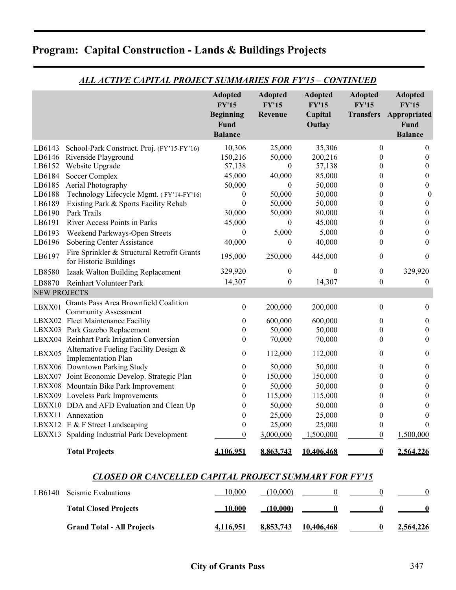|                     |                                                                       | <b>Adopted</b><br><b>FY'15</b><br><b>Beginning</b><br>Fund<br><b>Balance</b> | <b>Adopted</b><br><b>FY'15</b><br>Revenue | <b>Adopted</b><br><b>FY'15</b><br>Capital<br>Outlay | <b>Adopted</b><br><b>FY'15</b><br><b>Transfers</b> | <b>Adopted</b><br><b>FY'15</b><br>Appropriated<br>Fund<br><b>Balance</b> |
|---------------------|-----------------------------------------------------------------------|------------------------------------------------------------------------------|-------------------------------------------|-----------------------------------------------------|----------------------------------------------------|--------------------------------------------------------------------------|
| LB6143              | School-Park Construct. Proj. (FY'15-FY'16)                            | 10,306                                                                       | 25,000                                    | 35,306                                              | $\boldsymbol{0}$                                   | $\mathbf{0}$                                                             |
| LB6146              | Riverside Playground                                                  | 150,216                                                                      | 50,000                                    | 200,216                                             | $\theta$                                           | $\boldsymbol{0}$                                                         |
| LB6152              | Website Upgrade                                                       | 57,138                                                                       | $\overline{0}$                            | 57,138                                              | $\boldsymbol{0}$                                   | $\boldsymbol{0}$                                                         |
| LB6184              | Soccer Complex                                                        | 45,000                                                                       | 40,000                                    | 85,000                                              | $\boldsymbol{0}$                                   | $\boldsymbol{0}$                                                         |
| LB6185              | Aerial Photography                                                    | 50,000                                                                       | $\boldsymbol{0}$                          | 50,000                                              | $\boldsymbol{0}$                                   | $\boldsymbol{0}$                                                         |
| LB6188              | Technology Lifecycle Mgmt. (FY'14-FY'16)                              | $\boldsymbol{0}$                                                             | 50,000                                    | 50,000                                              | $\boldsymbol{0}$                                   | $\boldsymbol{0}$                                                         |
| LB6189              | Existing Park & Sports Facility Rehab                                 | $\boldsymbol{0}$                                                             | 50,000                                    | 50,000                                              | $\boldsymbol{0}$                                   | $\boldsymbol{0}$                                                         |
| LB6190              | Park Trails                                                           | 30,000                                                                       | 50,000                                    | 80,000                                              | $\theta$                                           | $\boldsymbol{0}$                                                         |
| LB6191              | River Access Points in Parks                                          | 45,000                                                                       | $\theta$                                  | 45,000                                              | $\theta$                                           | $\boldsymbol{0}$                                                         |
| LB6193              | Weekend Parkways-Open Streets                                         | $\theta$                                                                     | 5,000                                     | 5,000                                               | $\theta$                                           | $\boldsymbol{0}$                                                         |
| LB6196              | Sobering Center Assistance                                            | 40,000                                                                       | $\boldsymbol{0}$                          | 40,000                                              | $\theta$                                           | $\boldsymbol{0}$                                                         |
| LB6197              | Fire Sprinkler & Structural Retrofit Grants<br>for Historic Buildings | 195,000                                                                      | 250,000                                   | 445,000                                             | $\mathbf{0}$                                       | $\theta$                                                                 |
| LB8580              | Izaak Walton Building Replacement                                     | 329,920                                                                      | $\boldsymbol{0}$                          | $\theta$                                            | $\boldsymbol{0}$                                   | 329,920                                                                  |
| LB8870              | Reinhart Volunteer Park                                               | 14,307                                                                       | $\boldsymbol{0}$                          | 14,307                                              | $\boldsymbol{0}$                                   | $\mathbf{0}$                                                             |
| <b>NEW PROJECTS</b> |                                                                       |                                                                              |                                           |                                                     |                                                    |                                                                          |
|                     | Grants Pass Area Brownfield Coalition                                 |                                                                              |                                           |                                                     |                                                    |                                                                          |
| LBXX01              | <b>Community Assessment</b>                                           | $\boldsymbol{0}$                                                             | 200,000                                   | 200,000                                             | $\boldsymbol{0}$                                   | $\boldsymbol{0}$                                                         |
|                     | LBXX02 Fleet Maintenance Facility                                     | $\boldsymbol{0}$                                                             | 600,000                                   | 600,000                                             | $\theta$                                           | $\boldsymbol{0}$                                                         |
|                     | LBXX03 Park Gazebo Replacement                                        | $\boldsymbol{0}$                                                             | 50,000                                    | 50,000                                              | $\boldsymbol{0}$                                   | $\boldsymbol{0}$                                                         |
|                     | LBXX04 Reinhart Park Irrigation Conversion                            | $\boldsymbol{0}$                                                             | 70,000                                    | 70,000                                              | $\theta$                                           | $\boldsymbol{0}$                                                         |
| LBXX05              | Alternative Fueling Facility Design &<br><b>Implementation Plan</b>   | $\boldsymbol{0}$                                                             | 112,000                                   | 112,000                                             | $\mathbf{0}$                                       | $\boldsymbol{0}$                                                         |
|                     | LBXX06 Downtown Parking Study                                         | $\boldsymbol{0}$                                                             | 50,000                                    | 50,000                                              | $\mathbf{0}$                                       | $\boldsymbol{0}$                                                         |
|                     | LBXX07 Joint Economic Develop. Strategic Plan                         | $\boldsymbol{0}$                                                             | 150,000                                   | 150,000                                             | $\theta$                                           | $\boldsymbol{0}$                                                         |
|                     | LBXX08 Mountain Bike Park Improvement                                 | $\boldsymbol{0}$                                                             | 50,000                                    | 50,000                                              | $\theta$                                           | $\boldsymbol{0}$                                                         |
|                     | LBXX09 Loveless Park Improvements                                     | $\boldsymbol{0}$                                                             | 115,000                                   | 115,000                                             | $\theta$                                           | $\boldsymbol{0}$                                                         |
|                     | LBXX10 DDA and AFD Evaluation and Clean Up                            | $\boldsymbol{0}$                                                             | 50,000                                    | 50,000                                              | $\boldsymbol{0}$                                   | $\boldsymbol{0}$                                                         |
|                     | LBXX11 Annexation                                                     | $\boldsymbol{0}$                                                             | 25,000                                    | 25,000                                              | $\boldsymbol{0}$                                   | $\boldsymbol{0}$                                                         |
|                     | LBXX12 E & F Street Landscaping                                       | $\boldsymbol{0}$                                                             | 25,000                                    | 25,000                                              | $\boldsymbol{0}$                                   | $\boldsymbol{0}$                                                         |
|                     | LBXX13 Spalding Industrial Park Development                           | $\boldsymbol{0}$                                                             | 3,000,000                                 | 1,500,000                                           | $\boldsymbol{0}$                                   | 1,500,000                                                                |
|                     | <b>Total Projects</b>                                                 | 4,106,951                                                                    | 8,863,743                                 | 10,406,468                                          | $\boldsymbol{0}$                                   | 2,564,226                                                                |

### *ALL ACTIVE CAPITAL PROJECT SUMMARIES FOR FY'15 – CONTINUED*

#### *CLOSED OR CANCELLED CAPITAL PROJECT SUMMARY FOR FY'15*

| LB6140 | <b>Seismic Evaluations</b>        | 10.000    | (10.000)  |                   |           |
|--------|-----------------------------------|-----------|-----------|-------------------|-----------|
|        | <b>Total Closed Projects</b>      | 10.000    | (10.000)  | $\sim$ 0          |           |
|        | <b>Grand Total - All Projects</b> | 4,116,951 | 8,853,743 | <u>10,406,468</u> | 2,564,226 |